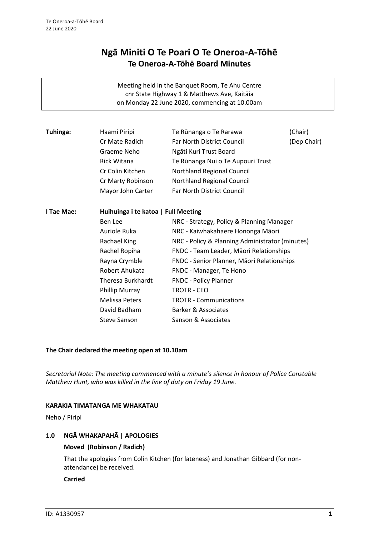# **Ngā Miniti O Te Poari O Te Oneroa-A-Tōhē Te Oneroa-A-Tōhē Board Minutes**

Meeting held in the Banquet Room, Te Ahu Centre cnr State Highway 1 & Matthews Ave, Kaitāia on Monday 22 June 2020, commencing at 10.00am

| Tuhinga:   | Haami Piripi<br>Cr Mate Radich<br>Graeme Neho<br><b>Rick Witana</b><br>Cr Colin Kitchen<br>Cr Marty Robinson<br>Mayor John Carter                                         | Te Rūnanga o Te Rarawa<br><b>Far North District Council</b><br>Ngāti Kuri Trust Board<br>Te Rūnanga Nui o Te Aupouri Trust<br>Northland Regional Council<br>Northland Regional Council<br>Far North District Council                                                                          | (Chair)<br>(Dep Chair) |
|------------|---------------------------------------------------------------------------------------------------------------------------------------------------------------------------|-----------------------------------------------------------------------------------------------------------------------------------------------------------------------------------------------------------------------------------------------------------------------------------------------|------------------------|
| I Tae Mae: | Huihuinga i te katoa   Full Meeting<br>Ben Lee<br>Auriole Ruka<br>Rachael King<br>Rachel Ropiha<br>Rayna Crymble<br>Robert Ahukata<br>Theresa Burkhardt<br>Phillip Murray | NRC - Strategy, Policy & Planning Manager<br>NRC - Kaiwhakahaere Hononga Māori<br>NRC - Policy & Planning Administrator (minutes)<br>FNDC - Team Leader, Māori Relationships<br>FNDC - Senior Planner, Māori Relationships<br>FNDC - Manager, Te Hono<br>FNDC - Policy Planner<br>TROTR - CEO |                        |
|            | Melissa Peters<br>David Badham<br><b>Steve Sanson</b>                                                                                                                     | <b>TROTR - Communications</b><br>Barker & Associates<br>Sanson & Associates                                                                                                                                                                                                                   |                        |

## **The Chair declared the meeting open at 10.10am**

*Secretarial Note: The meeting commenced with a minute's silence in honour of Police Constable Matthew Hunt, who was killed in the line of duty on Friday 19 June.*

## **KARAKIA TIMATANGA ME WHAKATAU**

Neho / Piripi

## **1.0 NGĀ WHAKAPAHĀ | APOLOGIES**

## **Moved (Robinson / Radich)**

That the apologies from Colin Kitchen (for lateness) and Jonathan Gibbard (for nonattendance) be received.

## **Carried**